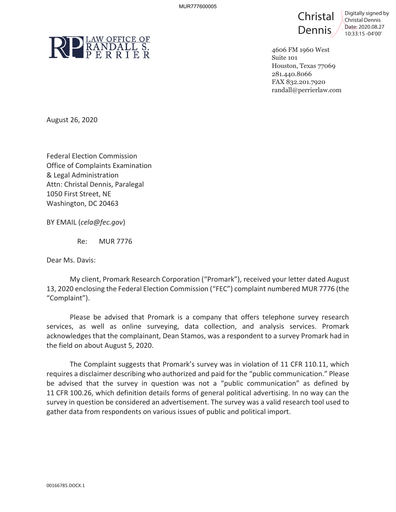

 $Christal$   $\int_{\text{Christal Dennis}}^{\text{Digitally signed by}}$ Dennis <sup>Date: [2020.08.27](https://2020.08.27)</sup>



4606 FM 1960 West Suite 101 Houston, Texas 77069 281.440.8066 FAX 832.201.7920 [randall@perrierlaw.com](mailto:randall@perrierlaw.com)

August 26, 2020

 Federal Election Commission Office of Complaints Examination & Legal Administration Attn: Christal Dennis, Paralegal 1050 First Street, NE Washington, DC 20463

BY EMAIL (*[cela@fec.gov](mailto:cela@fec.gov)*)

Re: MUR 7776

Dear Ms. Davis:

"Complaint"). My client, Promark Research Corporation ("Promark"), received your letter dated August 13, 2020 enclosing the Federal Election Commission ("FEC") complaint numbered MUR 7776 (the

Please be advised that Promark is a company that offers telephone survey research services, as well as online surveying, data collection, and analysis services. Promark acknowledges that the complainant, Dean Stamos, was a respondent to a survey Promark had in the field on about August 5, 2020.

 requires a disclaimer describing who authorized and paid for the "public communication." Please survey in question be considered an advertisement. The survey was a valid research tool used to The Complaint suggests that Promark's survey was in violation of 11 CFR 110.11, which be advised that the survey in question was not a "public communication" as defined by 11 CFR 100.26, which definition details forms of general political advertising. In no way can the gather data from respondents on various issues of public and political import. MURTITEBOOS<br>
MURTITEBOOS<br>
NURTITE CONDITIES<br>
PER RIP ER RIP ER<br>
August 26, 2020<br>
Federal Election Compinist Examination<br>
BLegal Administration<br>
BLEG Administration<br>
Attn: Christal Dennis, Paralegal<br>
Washington, DC 20463<br>
B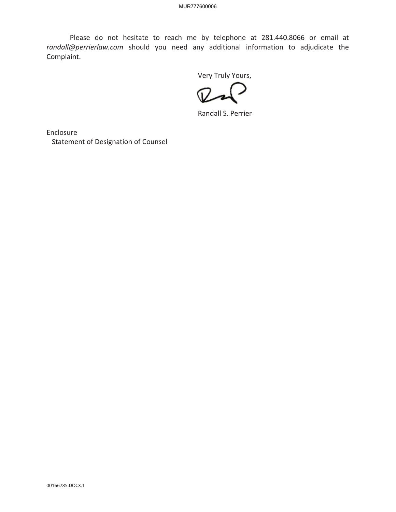Please do not hesitate to reach me by telephone at 281.440.8066 or email at *[randall@perrierlaw.com](mailto:randall@perrierlaw.com)* should you need any additional information to adjudicate the Complaint. Please do not hesitate to reach me by the<br>
star complaint.<br>
Complaint.<br>
Sconting the Second Statement of Designation of Counsel<br>
Statement of Designation of Counsel<br>
Next Statement of Designation of Counsel<br>
Next Statement

Very Truly Yours,

Randall S. Perrier

Enclosure Statement of Designation of Counsel